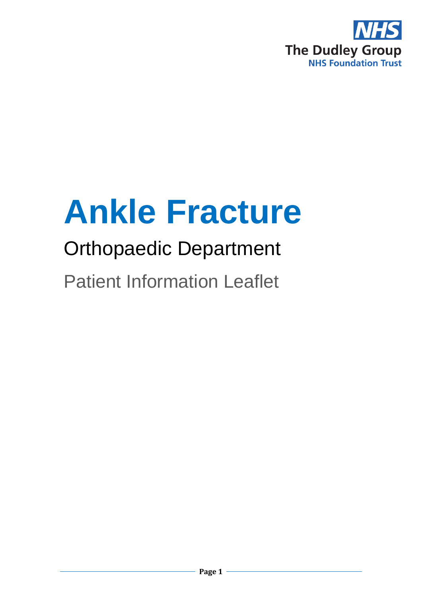

# **Ankle Fracture**

# Orthopaedic Department

Patient Information Leaflet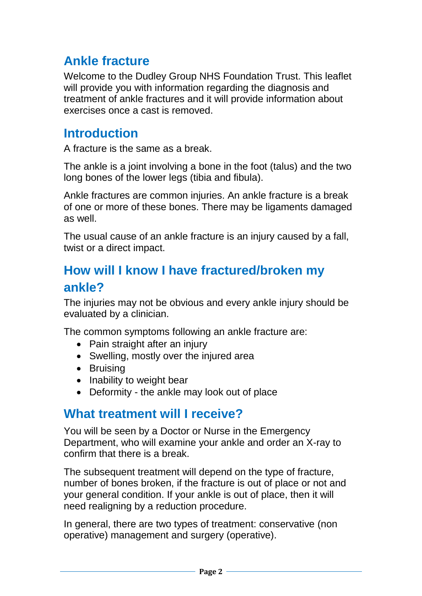# **Ankle fracture**

Welcome to the Dudley Group NHS Foundation Trust. This leaflet will provide you with information regarding the diagnosis and treatment of ankle fractures and it will provide information about exercises once a cast is removed.

### **Introduction**

A fracture is the same as a break.

The ankle is a joint involving a bone in the foot (talus) and the two long bones of the lower legs (tibia and fibula).

Ankle fractures are common injuries. An ankle fracture is a break of one or more of these bones. There may be ligaments damaged as well.

The usual cause of an ankle fracture is an injury caused by a fall, twist or a direct impact.

# **How will I know I have fractured/broken my ankle?**

The injuries may not be obvious and every ankle injury should be evaluated by a clinician.

The common symptoms following an ankle fracture are:

- Pain straight after an injury
- Swelling, mostly over the injured area
- Bruising
- Inability to weight bear
- Deformity the ankle may look out of place

#### **What treatment will I receive?**

You will be seen by a Doctor or Nurse in the Emergency Department, who will examine your ankle and order an X-ray to confirm that there is a break.

The subsequent treatment will depend on the type of fracture, number of bones broken, if the fracture is out of place or not and your general condition. If your ankle is out of place, then it will need realigning by a reduction procedure.

In general, there are two types of treatment: conservative (non operative) management and surgery (operative).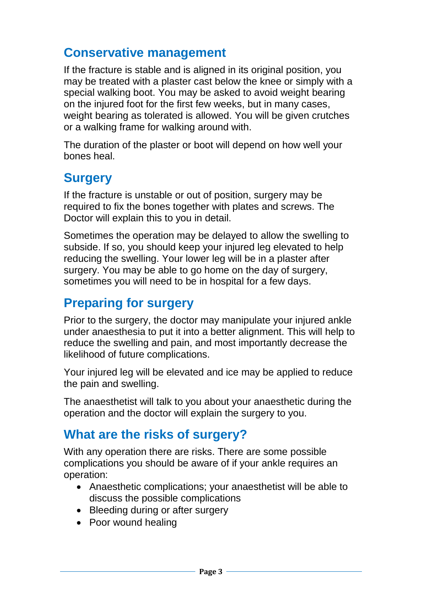### **Conservative management**

If the fracture is stable and is aligned in its original position, you may be treated with a plaster cast below the knee or simply with a special walking boot. You may be asked to avoid weight bearing on the injured foot for the first few weeks, but in many cases, weight bearing as tolerated is allowed. You will be given crutches or a walking frame for walking around with.

The duration of the plaster or boot will depend on how well your bones heal.

#### **Surgery**

If the fracture is unstable or out of position, surgery may be required to fix the bones together with plates and screws. The Doctor will explain this to you in detail.

Sometimes the operation may be delayed to allow the swelling to subside. If so, you should keep your injured leg elevated to help reducing the swelling. Your lower leg will be in a plaster after surgery. You may be able to go home on the day of surgery, sometimes you will need to be in hospital for a few days.

# **Preparing for surgery**

Prior to the surgery, the doctor may manipulate your injured ankle under anaesthesia to put it into a better alignment. This will help to reduce the swelling and pain, and most importantly decrease the likelihood of future complications.

Your injured leg will be elevated and ice may be applied to reduce the pain and swelling.

The anaesthetist will talk to you about your anaesthetic during the operation and the doctor will explain the surgery to you.

# **What are the risks of surgery?**

With any operation there are risks. There are some possible complications you should be aware of if your ankle requires an operation:

- Anaesthetic complications; your anaesthetist will be able to discuss the possible complications
- Bleeding during or after surgery
- Poor wound healing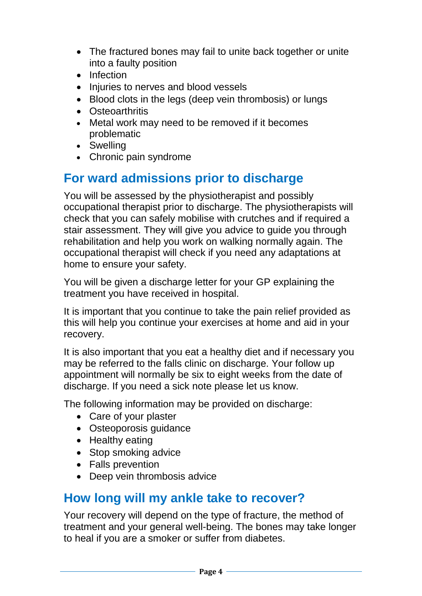- The fractured bones may fail to unite back together or unite into a faulty position
- Infection
- Injuries to nerves and blood vessels
- Blood clots in the legs (deep vein thrombosis) or lungs
- Osteoarthritis
- Metal work may need to be removed if it becomes problematic
- Swelling
- Chronic pain syndrome

# **For ward admissions prior to discharge**

You will be assessed by the physiotherapist and possibly occupational therapist prior to discharge. The physiotherapists will check that you can safely mobilise with crutches and if required a stair assessment. They will give you advice to guide you through rehabilitation and help you work on walking normally again. The occupational therapist will check if you need any adaptations at home to ensure your safety.

You will be given a discharge letter for your GP explaining the treatment you have received in hospital.

It is important that you continue to take the pain relief provided as this will help you continue your exercises at home and aid in your recovery.

It is also important that you eat a healthy diet and if necessary you may be referred to the falls clinic on discharge. Your follow up appointment will normally be six to eight weeks from the date of discharge. If you need a sick note please let us know.

The following information may be provided on discharge:

- Care of your plaster
- Osteoporosis guidance
- Healthy eating
- Stop smoking advice
- Falls prevention
- Deep vein thrombosis advice

#### **How long will my ankle take to recover?**

Your recovery will depend on the type of fracture, the method of treatment and your general well-being. The bones may take longer to heal if you are a smoker or suffer from diabetes.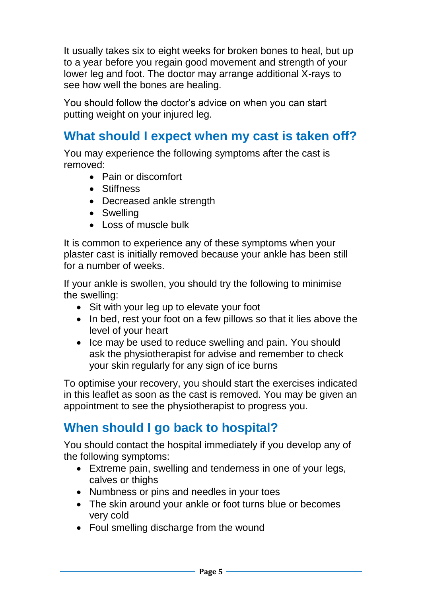It usually takes six to eight weeks for broken bones to heal, but up to a year before you regain good movement and strength of your lower leg and foot. The doctor may arrange additional X-rays to see how well the bones are healing.

You should follow the doctor's advice on when you can start putting weight on your injured leg.

## **What should I expect when my cast is taken off?**

You may experience the following symptoms after the cast is removed:

- Pain or discomfort
- Stiffness
- Decreased ankle strength
- Swelling
- Loss of muscle bulk

It is common to experience any of these symptoms when your plaster cast is initially removed because your ankle has been still for a number of weeks.

If your ankle is swollen, you should try the following to minimise the swelling:

- Sit with your leg up to elevate your foot
- In bed, rest your foot on a few pillows so that it lies above the level of your heart
- Ice may be used to reduce swelling and pain. You should ask the physiotherapist for advise and remember to check your skin regularly for any sign of ice burns

To optimise your recovery, you should start the exercises indicated in this leaflet as soon as the cast is removed. You may be given an appointment to see the physiotherapist to progress you.

# **When should I go back to hospital?**

You should contact the hospital immediately if you develop any of the following symptoms:

- Extreme pain, swelling and tenderness in one of your legs, calves or thighs
- Numbness or pins and needles in your toes
- The skin around your ankle or foot turns blue or becomes very cold
- Foul smelling discharge from the wound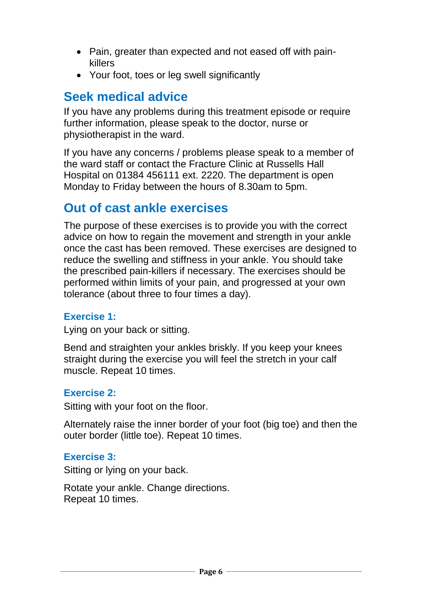- Pain, greater than expected and not eased off with painkillers
- Your foot, toes or leg swell significantly

#### **Seek medical advice**

If you have any problems during this treatment episode or require further information, please speak to the doctor, nurse or physiotherapist in the ward.

If you have any concerns / problems please speak to a member of the ward staff or contact the Fracture Clinic at Russells Hall Hospital on 01384 456111 ext. 2220. The department is open Monday to Friday between the hours of 8.30am to 5pm.

#### **Out of cast ankle exercises**

The purpose of these exercises is to provide you with the correct advice on how to regain the movement and strength in your ankle once the cast has been removed. These exercises are designed to reduce the swelling and stiffness in your ankle. You should take the prescribed pain-killers if necessary. The exercises should be performed within limits of your pain, and progressed at your own tolerance (about three to four times a day).

#### **Exercise 1:**

Lying on your back or sitting.

Bend and straighten your ankles briskly. If you keep your knees straight during the exercise you will feel the stretch in your calf muscle. Repeat 10 times.

#### **Exercise 2:**

Sitting with your foot on the floor.

Alternately raise the inner border of your foot (big toe) and then the outer border (little toe). Repeat 10 times.

#### **Exercise 3:**

Sitting or lying on your back.

Rotate your ankle. Change directions. Repeat 10 times.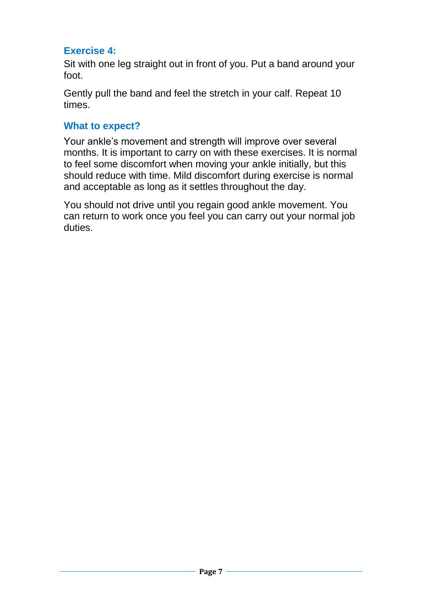#### **Exercise 4:**

Sit with one leg straight out in front of you. Put a band around your foot.

Gently pull the band and feel the stretch in your calf. Repeat 10 times.

#### **What to expect?**

Your ankle's movement and strength will improve over several months. It is important to carry on with these exercises. It is normal to feel some discomfort when moving your ankle initially, but this should reduce with time. Mild discomfort during exercise is normal and acceptable as long as it settles throughout the day.

You should not drive until you regain good ankle movement. You can return to work once you feel you can carry out your normal job duties.